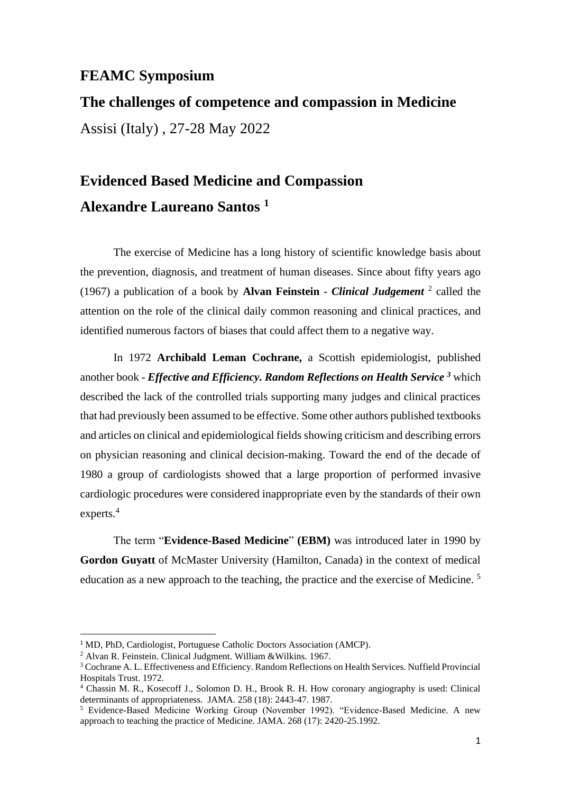## **FEAMC Symposium**

**The challenges of competence and compassion in Medicine** Assisi (Italy) , 27-28 May 2022

## **Evidenced Based Medicine and Compassion Alexandre Laureano Santos <sup>1</sup>**

The exercise of Medicine has a long history of scientific knowledge basis about the prevention, diagnosis, and treatment of human diseases. Since about fifty years ago (1967) a publication of a book by **Alvan Feinstein** - *Clinical Judgement* <sup>2</sup> called the attention on the role of the clinical daily common reasoning and clinical practices, and identified numerous factors of biases that could affect them to a negative way.

In 1972 **Archibald Leman Cochrane,** a Scottish epidemiologist, published another book - *Effective and Efficiency. Random Reflections on Health Service <sup>3</sup>* which described the lack of the controlled trials supporting many judges and clinical practices that had previously been assumed to be effective. Some other authors published textbooks and articles on clinical and epidemiological fields showing criticism and describing errors on physician reasoning and clinical decision-making. Toward the end of the decade of 1980 a group of cardiologists showed that a large proportion of performed invasive cardiologic procedures were considered inappropriate even by the standards of their own experts. 4

The term "**Evidence-Based Medicine**" **(EBM)** was introduced later in 1990 by **Gordon Guyatt** of McMaster University (Hamilton, Canada) in the context of medical education as a new approach to the teaching, the practice and the exercise of Medicine.<sup>5</sup>

<sup>&</sup>lt;sup>1</sup> MD, PhD, Cardiologist, Portuguese Catholic Doctors Association (AMCP).

<sup>&</sup>lt;sup>2</sup> Alvan R. Feinstein. Clinical Judgment. William &Wilkins. 1967.

<sup>3</sup> Cochrane A. L. Effectiveness and Efficiency. Random Reflections on Health Services. Nuffield Provincial Hospitals Trust. 1972.

<sup>4</sup> Chassin M. R., Kosecoff J., Solomon D. H., Brook R. H. How coronary angiography is used: Clinical determinants of appropriateness. JAMA. 258 (18): 2443-47. 1987.

<sup>5</sup> Evidence-Based Medicine Working Group (November 1992). "Evidence-Based Medicine. A new approach to teaching the practice of Medicine. JAMA. 268 (17): 2420-25.1992.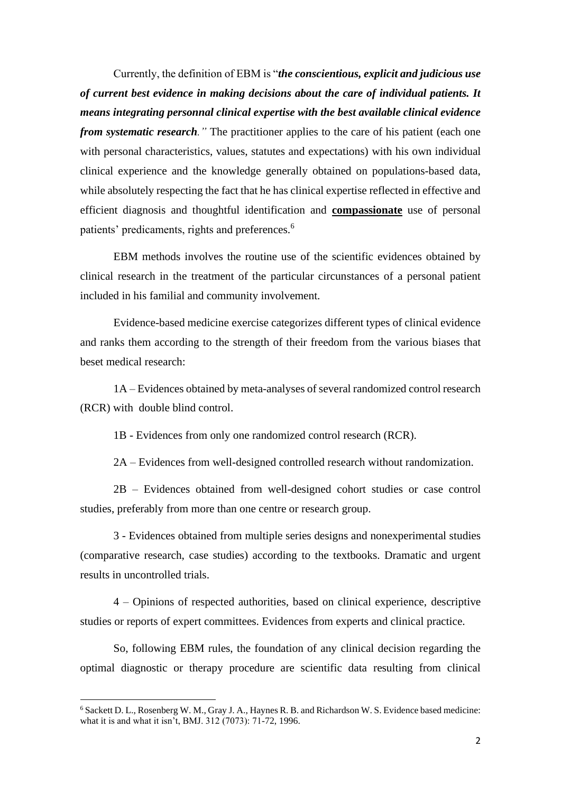Currently, the definition of EBM is "*the conscientious, explicit and judicious use of current best evidence in making decisions about the care of individual patients. It means integrating personnal clinical expertise with the best available clinical evidence from systematic research.* " The practitioner applies to the care of his patient (each one with personal characteristics, values, statutes and expectations) with his own individual clinical experience and the knowledge generally obtained on populations-based data, while absolutely respecting the fact that he has clinical expertise reflected in effective and efficient diagnosis and thoughtful identification and **compassionate** use of personal patients' predicaments, rights and preferences.<sup>6</sup>

EBM methods involves the routine use of the scientific evidences obtained by clinical research in the treatment of the particular circunstances of a personal patient included in his familial and community involvement.

Evidence-based medicine exercise categorizes different types of clinical evidence and ranks them according to the strength of their freedom from the various biases that beset medical research:

1A – Evidences obtained by meta-analyses of several randomized control research (RCR) with double blind control.

1B - Evidences from only one randomized control research (RCR).

2A – Evidences from well-designed controlled research without randomization.

2B – Evidences obtained from well-designed cohort studies or case control studies, preferably from more than one centre or research group.

3 - Evidences obtained from multiple series designs and nonexperimental studies (comparative research, case studies) according to the textbooks. Dramatic and urgent results in uncontrolled trials.

4 – Opinions of respected authorities, based on clinical experience, descriptive studies or reports of expert committees. Evidences from experts and clinical practice.

So, following EBM rules, the foundation of any clinical decision regarding the optimal diagnostic or therapy procedure are scientific data resulting from clinical

<sup>6</sup> Sackett D. L., Rosenberg W. M., Gray J. A., Haynes R. B. and Richardson W. S. Evidence based medicine: what it is and what it isn't, BMJ. 312 (7073): 71-72, 1996.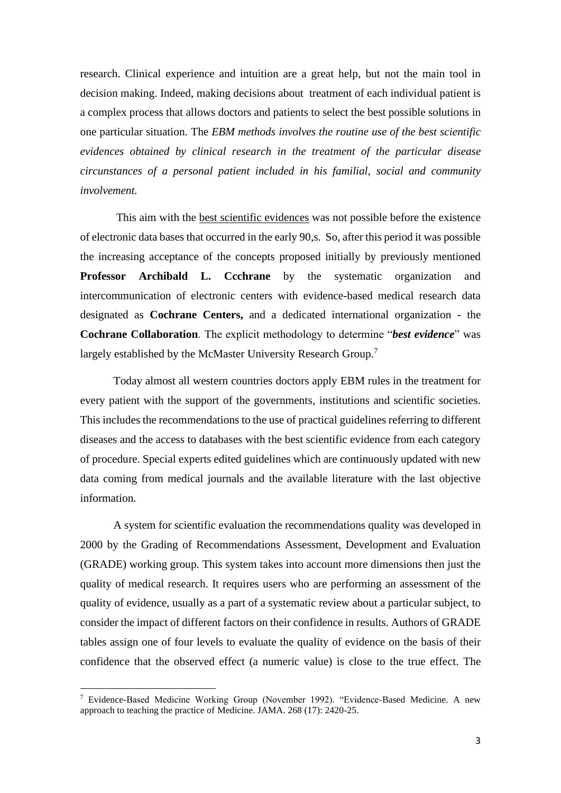research. Clinical experience and intuition are a great help, but not the main tool in decision making. Indeed, making decisions about treatment of each individual patient is a complex process that allows doctors and patients to select the best possible solutions in one particular situation. The *EBM methods involves the routine use of the best scientific evidences obtained by clinical research in the treatment of the particular disease circunstances of a personal patient included in his familial, social and community involvement.*

This aim with the best scientific evidences was not possible before the existence of electronic data bases that occurred in the early 90,s. So, after this period it was possible the increasing acceptance of the concepts proposed initially by previously mentioned **Professor Archibald L. Ccchrane** by the systematic organization and intercommunication of electronic centers with evidence-based medical research data designated as **Cochrane Centers,** and a dedicated international organization - the **Cochrane Collaboration**. The explicit methodology to determine "*best evidence*" was largely established by the McMaster University Research Group.<sup>7</sup>

Today almost all western countries doctors apply EBM rules in the treatment for every patient with the support of the governments, institutions and scientific societies. This includes the recommendations to the use of practical guidelines referring to different diseases and the access to databases with the best scientific evidence from each category of procedure. Special experts edited guidelines which are continuously updated with new data coming from medical journals and the available literature with the last objective information.

A system for scientific evaluation the recommendations quality was developed in 2000 by the Grading of Recommendations Assessment, Development and Evaluation (GRADE) working group. This system takes into account more dimensions then just the quality of medical research. It requires users who are performing an assessment of the quality of evidence, usually as a part of a systematic review about a particular subject, to consider the impact of different factors on their confidence in results. Authors of GRADE tables assign one of four levels to evaluate the quality of evidence on the basis of their confidence that the observed effect (a numeric value) is close to the true effect. The

<sup>7</sup> Evidence-Based Medicine Working Group (November 1992). "Evidence-Based Medicine. A new approach to teaching the practice of Medicine. JAMA. 268 (17): 2420-25.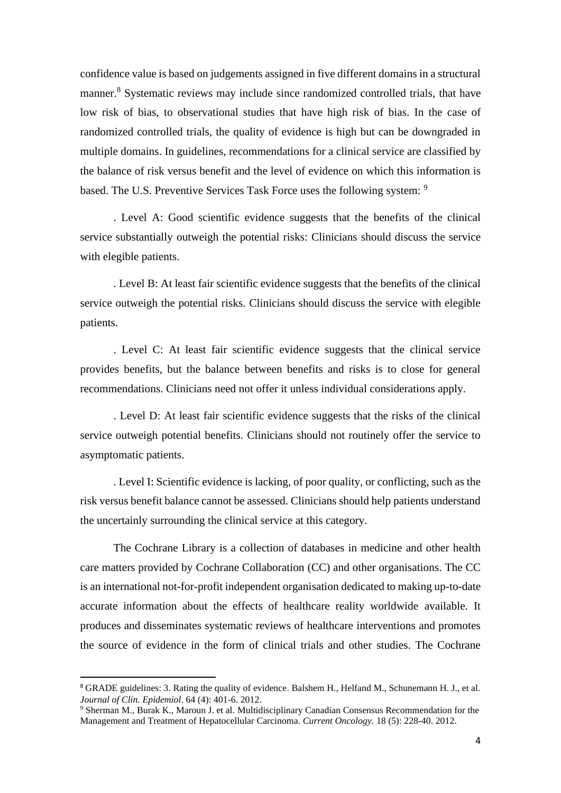confidence value is based on judgements assigned in five different domains in a structural manner.<sup>8</sup> Systematic reviews may include since randomized controlled trials, that have low risk of bias, to observational studies that have high risk of bias. In the case of randomized controlled trials, the quality of evidence is high but can be downgraded in multiple domains. In guidelines, recommendations for a clinical service are classified by the balance of risk versus benefit and the level of evidence on which this information is based. The U.S. Preventive Services Task Force uses the following system: <sup>9</sup>

. Level A: Good scientific evidence suggests that the benefits of the clinical service substantially outweigh the potential risks: Clinicians should discuss the service with elegible patients.

. Level B: At least fair scientific evidence suggests that the benefits of the clinical service outweigh the potential risks. Clinicians should discuss the service with elegible patients.

. Level C: At least fair scientific evidence suggests that the clinical service provides benefits, but the balance between benefits and risks is to close for general recommendations. Clinicians need not offer it unless individual considerations apply.

. Level D: At least fair scientific evidence suggests that the risks of the clinical service outweigh potential benefits. Clinicians should not routinely offer the service to asymptomatic patients.

. Level I: Scientific evidence is lacking, of poor quality, or conflicting, such as the risk versus benefit balance cannot be assessed. Clinicians should help patients understand the uncertainly surrounding the clinical service at this category.

The Cochrane Library is a collection of databases in medicine and other health care matters provided by Cochrane Collaboration (CC) and other organisations. The CC is an international not-for-profit independent organisation dedicated to making up-to-date accurate information about the effects of healthcare reality worldwide available. It produces and disseminates systematic reviews of healthcare interventions and promotes the source of evidence in the form of clinical trials and other studies. The Cochrane

<sup>8</sup> GRADE guidelines: 3. Rating the quality of evidence. Balshem H., Helfand M., Schunemann H. J., et al. *Journal of Clin. Epidemiol*. 64 (4): 401-6. 2012.

<sup>&</sup>lt;sup>9</sup> Sherman M., Burak K., Maroun J. et al. Multidisciplinary Canadian Consensus Recommendation for the Management and Treatment of Hepatocellular Carcinoma. *Current Oncology.* 18 (5): 228-40. 2012.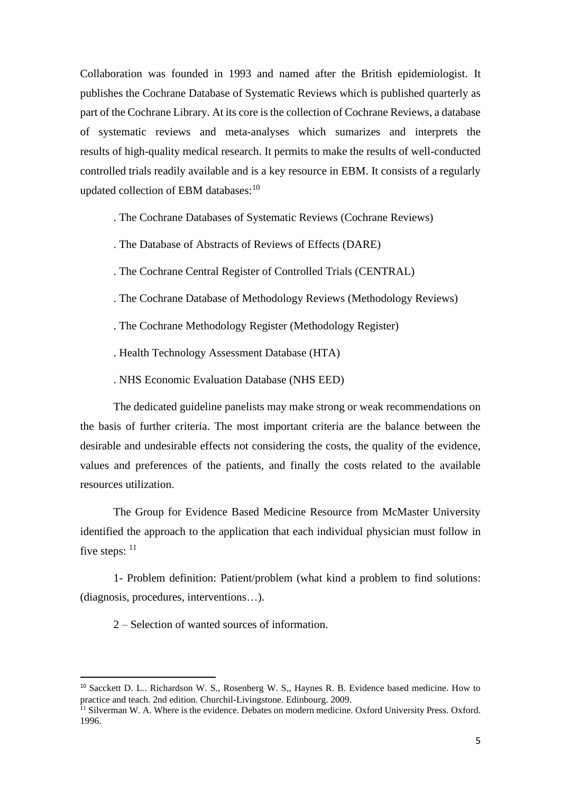Collaboration was founded in 1993 and named after the British epidemiologist. It publishes the Cochrane Database of Systematic Reviews which is published quarterly as part of the Cochrane Library. At its core is the collection of Cochrane Reviews, a database of systematic reviews and meta-analyses which sumarizes and interprets the results of high-quality medical research. It permits to make the results of well-conducted controlled trials readily available and is a key resource in EBM. It consists of a regularly updated collection of EBM databases:<sup>10</sup>

. The Cochrane Databases of Systematic Reviews (Cochrane Reviews)

- . The Database of Abstracts of Reviews of Effects (DARE)
- . The Cochrane Central Register of Controlled Trials (CENTRAL)
- . The Cochrane Database of Methodology Reviews (Methodology Reviews)
- . The Cochrane Methodology Register (Methodology Register)
- . Health Technology Assessment Database (HTA)
- . NHS Economic Evaluation Database (NHS EED)

The dedicated guideline panelists may make strong or weak recommendations on the basis of further criteria. The most important criteria are the balance between the desirable and undesirable effects not considering the costs, the quality of the evidence, values and preferences of the patients, and finally the costs related to the available resources utilization.

The Group for Evidence Based Medicine Resource from McMaster University identified the approach to the application that each individual physician must follow in five steps:  $11$ 

1- Problem definition: Patient/problem (what kind a problem to find solutions: (diagnosis, procedures, interventions…).

2 – Selection of wanted sources of information.

<sup>&</sup>lt;sup>10</sup> Sacckett D. L.. Richardson W. S., Rosenberg W. S., Haynes R. B. Evidence based medicine. How to practice and teach. 2nd edition. Churchil-Livingstone. Edinbourg. 2009.

 $11$  Silverman W. A. Where is the evidence. Debates on modern medicine. Oxford University Press. Oxford. 1996.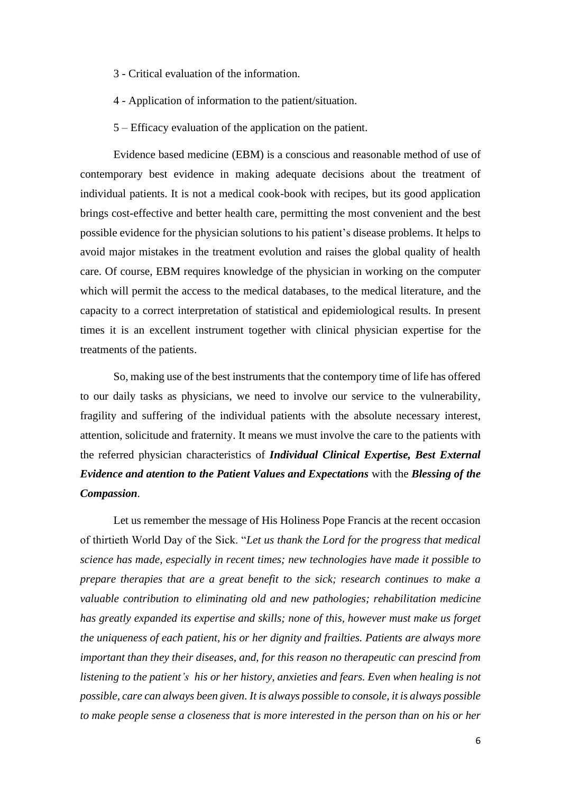- 3 Critical evaluation of the information.
- 4 Application of information to the patient/situation.
- 5 Efficacy evaluation of the application on the patient.

Evidence based medicine (EBM) is a conscious and reasonable method of use of contemporary best evidence in making adequate decisions about the treatment of individual patients. It is not a medical cook-book with recipes, but its good application brings cost-effective and better health care, permitting the most convenient and the best possible evidence for the physician solutions to his patient's disease problems. It helps to avoid major mistakes in the treatment evolution and raises the global quality of health care. Of course, EBM requires knowledge of the physician in working on the computer which will permit the access to the medical databases, to the medical literature, and the capacity to a correct interpretation of statistical and epidemiological results. In present times it is an excellent instrument together with clinical physician expertise for the treatments of the patients.

So, making use of the best instruments that the contempory time of life has offered to our daily tasks as physicians, we need to involve our service to the vulnerability, fragility and suffering of the individual patients with the absolute necessary interest, attention, solicitude and fraternity. It means we must involve the care to the patients with the referred physician characteristics of *Individual Clinical Expertise, Best External Evidence and atention to the Patient Values and Expectations* with the *Blessing of the Compassion.*

Let us remember the message of His Holiness Pope Francis at the recent occasion of thirtieth World Day of the Sick. "*Let us thank the Lord for the progress that medical science has made, especially in recent times; new technologies have made it possible to prepare therapies that are a great benefit to the sick; research continues to make a valuable contribution to eliminating old and new pathologies; rehabilitation medicine has greatly expanded its expertise and skills; none of this, however must make us forget the uniqueness of each patient, his or her dignity and frailties. Patients are always more important than they their diseases, and, for this reason no therapeutic can prescind from listening to the patient's his or her history, anxieties and fears. Even when healing is not possible, care can always been given. It is always possible to console, it is always possible to make people sense a closeness that is more interested in the person than on his or her*